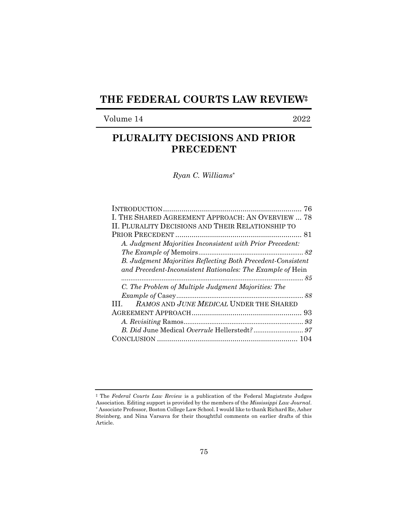## **THE FEDERAL COURTS LAW REVIEW‡**

## Volume 14 2022

# **PLURALITY DECISIONS AND PRIOR PRECEDENT**

*Ryan C. Williams\** 

| I. THE SHARED AGREEMENT APPROACH: AN OVERVIEW  78           |
|-------------------------------------------------------------|
| II. PLURALITY DECISIONS AND THEIR RELATIONSHIP TO           |
|                                                             |
| A. Judgment Majorities Inconsistent with Prior Precedent:   |
|                                                             |
| B. Judgment Majorities Reflecting Both Precedent-Consistent |
| and Precedent-Inconsistent Rationales: The Example of Hein  |
|                                                             |
| C. The Problem of Multiple Judgment Majorities: The         |
|                                                             |
|                                                             |
| RAMOS AND JUNE MEDICAL UNDER THE SHARED<br>$\mathbf{H}$     |
| 93                                                          |
|                                                             |
|                                                             |

<sup>‡</sup> The *Federal Courts Law Review* is a publication of the Federal Magistrate Judges Association. Editing support is provided by the members of the *Mississippi Law Journal*. \* Associate Professor, Boston College Law School. I would like to thank Richard Re, Asher Steinberg, and Nina Varsava for their thoughtful comments on earlier drafts of this Article.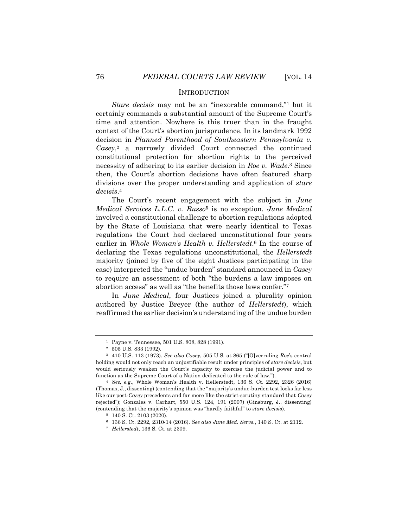#### **INTRODUCTION**

*Stare decisis* may not be an "inexorable command,"<sup>1</sup> but it certainly commands a substantial amount of the Supreme Court's time and attention. Nowhere is this truer than in the fraught context of the Court's abortion jurisprudence. In its landmark 1992 decision in *Planned Parenthood of Southeastern Pennsylvania v. Casey*,2 a narrowly divided Court connected the continued constitutional protection for abortion rights to the perceived necessity of adhering to its earlier decision in *Roe v. Wade*.3 Since then, the Court's abortion decisions have often featured sharp divisions over the proper understanding and application of *stare decisis*.4

The Court's recent engagement with the subject in *June Medical Services L.L.C. v. Russo*5 is no exception. *June Medical*  involved a constitutional challenge to abortion regulations adopted by the State of Louisiana that were nearly identical to Texas regulations the Court had declared unconstitutional four years earlier in *Whole Woman's Health v. Hellerstedt*.6 In the course of declaring the Texas regulations unconstitutional, the *Hellerstedt*  majority (joined by five of the eight Justices participating in the case) interpreted the "undue burden" standard announced in *Casey* to require an assessment of both "the burdens a law imposes on abortion access" as well as "the benefits those laws confer."7

In *June Medical*, four Justices joined a plurality opinion authored by Justice Breyer (the author of *Hellerstedt*), which reaffirmed the earlier decision's understanding of the undue burden

<sup>1</sup> Payne v. Tennessee, 501 U.S. 808, 828 (1991).

<sup>2 505</sup> U.S. 833 (1992).

<sup>3 410</sup> U.S. 113 (1973). *See also Casey*, 505 U.S. at 865 ("[O]verruling *Roe*'s central holding would not only reach an unjustifiable result under principles of *stare decisis*, but would seriously weaken the Court's capacity to exercise the judicial power and to function as the Supreme Court of a Nation dedicated to the rule of law.").

<sup>4</sup> *See, e.g.*, Whole Woman's Health v. Hellerstedt, 136 S. Ct. 2292, 2326 (2016) (Thomas, J., dissenting) (contending that the "majority's undue-burden test looks far less like our post-*Casey* precedents and far more like the strict-scrutiny standard that *Casey* rejected"); Gonzales v. Carhart, 550 U.S. 124, 191 (2007) (Ginsburg, J., dissenting) (contending that the majority's opinion was "hardly faithful" to *stare decisis*).

<sup>5 140</sup> S. Ct. 2103 (2020).

<sup>6 136</sup> S. Ct. 2292, 2310-14 (2016). *See also June Med. Servs.*, 140 S. Ct. at 2112.

<sup>7</sup> *Hellerstedt*, 136 S. Ct. at 2309.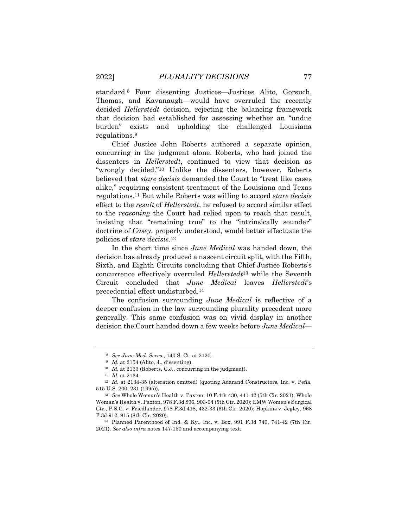standard.8 Four dissenting Justices—Justices Alito, Gorsuch, Thomas, and Kavanaugh—would have overruled the recently decided *Hellerstedt* decision, rejecting the balancing framework that decision had established for assessing whether an "undue burden" exists and upholding the challenged Louisiana regulations.9

Chief Justice John Roberts authored a separate opinion, concurring in the judgment alone. Roberts, who had joined the dissenters in *Hellerstedt*, continued to view that decision as "wrongly decided."10 Unlike the dissenters, however, Roberts believed that *stare decisis* demanded the Court to "treat like cases alike," requiring consistent treatment of the Louisiana and Texas regulations.11 But while Roberts was willing to accord *stare decisis* effect to the *result* of *Hellerstedt*, he refused to accord similar effect to the *reasoning* the Court had relied upon to reach that result, insisting that "remaining true" to the "intrinsically sounder" doctrine of *Casey*, properly understood, would better effectuate the policies of *stare decisis*.12

In the short time since *June Medical* was handed down, the decision has already produced a nascent circuit split, with the Fifth, Sixth, and Eighth Circuits concluding that Chief Justice Roberts's concurrence effectively overruled *Hellerstedt*13 while the Seventh Circuit concluded that *June Medical* leaves *Hellerstedt*'s precedential effect undisturbed.14

The confusion surrounding *June Medical* is reflective of a deeper confusion in the law surrounding plurality precedent more generally. This same confusion was on vivid display in another decision the Court handed down a few weeks before *June Medical*—

<sup>8</sup> *See June Med. Servs.*, 140 S. Ct. at 2120.

<sup>9</sup> *Id.* at 2154 (Alito, J., dissenting).

<sup>10</sup> *Id.* at 2133 (Roberts, C.J., concurring in the judgment).

<sup>11</sup> *Id.* at 2134.

<sup>&</sup>lt;sup>12</sup> Id. at 2134-35 (alteration omitted) (quoting Adarand Constructors, Inc. v. Peña, 515 U.S. 200, 231 (1995)).

<sup>13</sup> *See* Whole Woman's Health v. Paxton, 10 F.4th 430, 441-42 (5th Cir. 2021); Whole Woman's Health v. Paxton, 978 F.3d 896, 903-04 (5th Cir. 2020); EMW Women's Surgical Ctr., P.S.C. v. Friedlander, 978 F.3d 418, 432-33 (6th Cir. 2020); Hopkins v. Jegley, 968 F.3d 912, 915 (8th Cir. 2020).

<sup>14</sup> Planned Parenthood of Ind. & Ky., Inc. v. Box, 991 F.3d 740, 741-42 (7th Cir. 2021). *See also infra* notes 147-150 and accompanying text.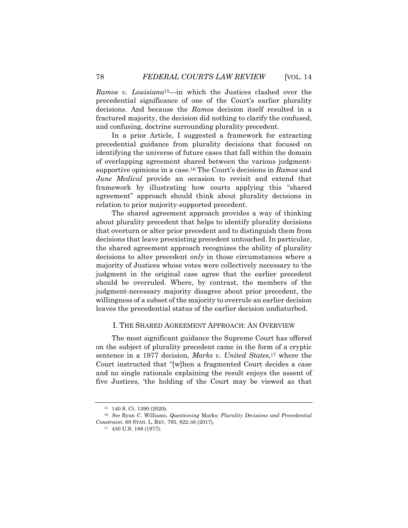*Ramos v. Louisiana*15—in which the Justices clashed over the precedential significance of one of the Court's earlier plurality decisions. And because the *Ramos* decision itself resulted in a fractured majority, the decision did nothing to clarify the confused, and confusing, doctrine surrounding plurality precedent.

In a prior Article, I suggested a framework for extracting precedential guidance from plurality decisions that focused on identifying the universe of future cases that fall within the domain of overlapping agreement shared between the various judgmentsupportive opinions in a case.16 The Court's decisions in *Ramos* and *June Medical* provide an occasion to revisit and extend that framework by illustrating how courts applying this "shared agreement" approach should think about plurality decisions in relation to prior majority-supported precedent.

The shared agreement approach provides a way of thinking about plurality precedent that helps to identify plurality decisions that overturn or alter prior precedent and to distinguish them from decisions that leave preexisting precedent untouched. In particular, the shared agreement approach recognizes the ability of plurality decisions to alter precedent *only* in those circumstances where a majority of Justices whose votes were collectively necessary to the judgment in the original case agree that the earlier precedent should be overruled. Where, by contrast, the members of the judgment-necessary majority disagree about prior precedent, the willingness of a subset of the majority to overrule an earlier decision leaves the precedential status of the earlier decision undisturbed.

#### I. THE SHARED AGREEMENT APPROACH: AN OVERVIEW

The most significant guidance the Supreme Court has offered on the subject of plurality precedent came in the form of a cryptic sentence in a 1977 decision, *Marks v. United States*,17 where the Court instructed that "[w]hen a fragmented Court decides a case and no single rationale explaining the result enjoys the assent of five Justices, 'the holding of the Court may be viewed as that

<sup>15 140</sup> S. Ct. 1390 (2020).

<sup>16</sup> *See* Ryan C. Williams, *Questioning* Marks*: Plurality Decisions and Precedential Constraint*, 69 STAN. L. REV. 795, 822-38 (2017).

<sup>17 430</sup> U.S. 188 (1977).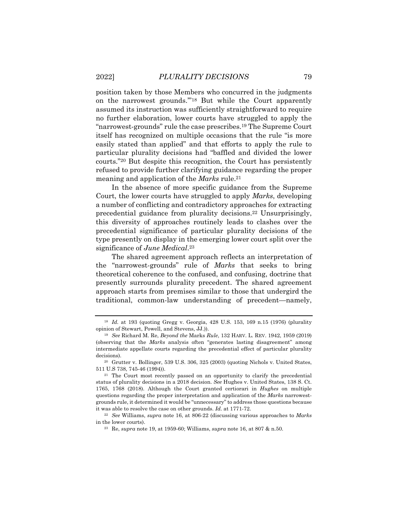position taken by those Members who concurred in the judgments on the narrowest grounds.'"18 But while the Court apparently assumed its instruction was sufficiently straightforward to require no further elaboration, lower courts have struggled to apply the "narrowest-grounds" rule the case prescribes.19 The Supreme Court itself has recognized on multiple occasions that the rule "is more easily stated than applied" and that efforts to apply the rule to particular plurality decisions had "baffled and divided the lower courts."20 But despite this recognition, the Court has persistently refused to provide further clarifying guidance regarding the proper meaning and application of the *Marks* rule.21

In the absence of more specific guidance from the Supreme Court, the lower courts have struggled to apply *Marks*, developing a number of conflicting and contradictory approaches for extracting precedential guidance from plurality decisions.22 Unsurprisingly, this diversity of approaches routinely leads to clashes over the precedential significance of particular plurality decisions of the type presently on display in the emerging lower court split over the significance of *June Medical*.23

The shared agreement approach reflects an interpretation of the "narrowest-grounds" rule of *Marks* that seeks to bring theoretical coherence to the confused, and confusing, doctrine that presently surrounds plurality precedent. The shared agreement approach starts from premises similar to those that undergird the traditional, common-law understanding of precedent—namely,

<sup>18</sup> *Id.* at 193 (quoting Gregg v. Georgia, 428 U.S. 153, 169 n.15 (1976) (plurality opinion of Stewart, Powell, and Stevens, JJ.)).

<sup>19</sup> *See* Richard M. Re, *Beyond the* Marks *Rule*, 132 HARV. L. REV. 1942, 1959 (2019) (observing that the *Marks* analysis often "generates lasting disagreement" among intermediate appellate courts regarding the precedential effect of particular plurality decisions).

<sup>20</sup> Grutter v. Bollinger, 539 U.S. 306, 325 (2003) (quoting Nichols v. United States, 511 U.S 738, 745-46 (1994)).

<sup>21</sup> The Court most recently passed on an opportunity to clarify the precedential status of plurality decisions in a 2018 decision. *See* Hughes v. United States, 138 S. Ct. 1765, 1768 (2018). Although the Court granted certiorari in *Hughes* on multiple questions regarding the proper interpretation and application of the *Marks* narrowestgrounds rule, it determined it would be "unnecessary" to address those questions because it was able to resolve the case on other grounds. *Id.* at 1771-72.

<sup>22</sup> *See* Williams, *supra* note 16, at 806-22 (discussing various approaches to *Marks* in the lower courts).

<sup>23</sup> Re, *supra* note 19, at 1959-60; Williams, *supra* note 16, at 807 & n.50.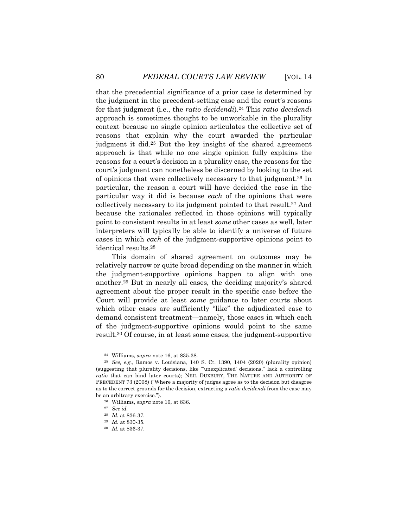that the precedential significance of a prior case is determined by the judgment in the precedent-setting case and the court's reasons for that judgment (i.e., the *ratio decidendi*).24 This *ratio decidendi*  approach is sometimes thought to be unworkable in the plurality context because no single opinion articulates the collective set of reasons that explain why the court awarded the particular judgment it did.25 But the key insight of the shared agreement approach is that while no one single opinion fully explains the reasons for a court's decision in a plurality case, the reasons for the court's judgment can nonetheless be discerned by looking to the set of opinions that were collectively necessary to that judgment.26 In particular, the reason a court will have decided the case in the particular way it did is because *each* of the opinions that were collectively necessary to its judgment pointed to that result.27 And because the rationales reflected in those opinions will typically point to consistent results in at least *some* other cases as well, later interpreters will typically be able to identify a universe of future cases in which *each* of the judgment-supportive opinions point to identical results.28

This domain of shared agreement on outcomes may be relatively narrow or quite broad depending on the manner in which the judgment-supportive opinions happen to align with one another.29 But in nearly all cases, the deciding majority's shared agreement about the proper result in the specific case before the Court will provide at least *some* guidance to later courts about which other cases are sufficiently "like" the adjudicated case to demand consistent treatment—namely, those cases in which each of the judgment-supportive opinions would point to the same result.30 Of course, in at least some cases, the judgment-supportive

<sup>24</sup> Williams, *supra* note 16, at 835-38.

<sup>25</sup> *See, e.g.*, Ramos v. Louisiana, 140 S. Ct. 1390, 1404 (2020) (plurality opinion) (suggesting that plurality decisions, like "'unexplicated' decisions," lack a controlling *ratio* that can bind later courts); NEIL DUXBURY, THE NATURE AND AUTHORITY OF PRECEDENT 73 (2008) ("Where a majority of judges agree as to the decision but disagree as to the correct grounds for the decision, extracting a *ratio decidendi* from the case may be an arbitrary exercise.").

<sup>26</sup> Williams, *supra* note 16, at 836.

<sup>27</sup> *See id.*

<sup>28</sup> *Id.* at 836-37.

<sup>29</sup> *Id.* at 830-35.

<sup>30</sup> *Id.* at 836-37.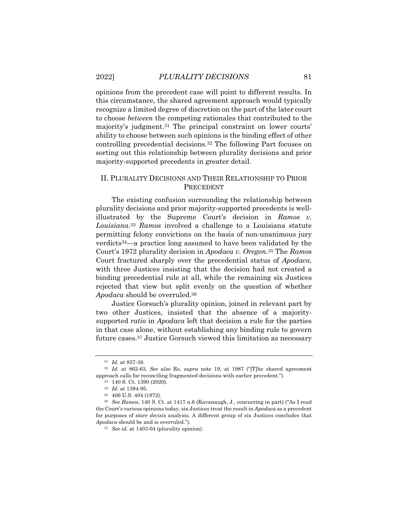opinions from the precedent case will point to different results. In this circumstance, the shared agreement approach would typically recognize a limited degree of discretion on the part of the later court to choose *between* the competing rationales that contributed to the majority's judgment.31 The principal constraint on lower courts' ability to choose between such opinions is the binding effect of other controlling precedential decisions.32 The following Part focuses on sorting out this relationship between plurality decisions and prior majority-supported precedents in greater detail.

## II. PLURALITY DECISIONS AND THEIR RELATIONSHIP TO PRIOR PRECEDENT

The existing confusion surrounding the relationship between plurality decisions and prior majority-supported precedents is wellillustrated by the Supreme Court's decision in *Ramos v. Louisiana*.33 *Ramos* involved a challenge to a Louisiana statute permitting felony convictions on the basis of non-unanimous jury verdicts34—a practice long assumed to have been validated by the Court's 1972 plurality decision in *Apodaca v. Oregon*.35 The *Ramos* Court fractured sharply over the precedential status of *Apodaca*, with three Justices insisting that the decision had not created a binding precedential rule at all, while the remaining six Justices rejected that view but split evenly on the question of whether *Apodaca* should be overruled.36

Justice Gorsuch's plurality opinion, joined in relevant part by two other Justices, insisted that the absence of a majoritysupported *ratio* in *Apodaca* left that decision a rule for the parties in that case alone, without establishing any binding rule to govern future cases.37 Justice Gorsuch viewed this limitation as necessary

<sup>31</sup> *Id.* at 837-38.

<sup>32</sup> *Id.* at 862-63. *See also* Re, *supra* note 19, at 1987 ("[T]he shared agreement approach calls for reconciling fragmented decisions with earlier precedent.").

<sup>33 140</sup> S. Ct. 1390 (2020).

<sup>34</sup> *Id.* at 1394-95.

<sup>35 406</sup> U.S. 404 (1972).

<sup>36</sup> *See Ramos*, 140 S. Ct. at 1417 n.6 (Kavanaugh, J., concurring in part) ("As I read the Court's various opinions today, six Justices treat the result in *Apodaca* as a precedent for purposes of *stare decisis* analysis. A different group of six Justices concludes that *Apodaca* should be and is overruled.").

<sup>37</sup> *See id.* at 1403-04 (plurality opinion).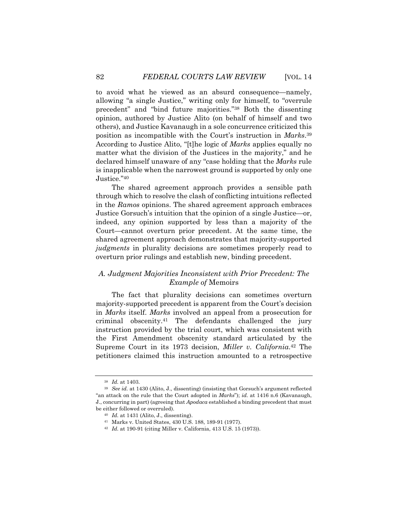to avoid what he viewed as an absurd consequence—namely, allowing "a single Justice," writing only for himself, to "overrule precedent" and "bind future majorities."38 Both the dissenting opinion, authored by Justice Alito (on behalf of himself and two others), and Justice Kavanaugh in a sole concurrence criticized this position as incompatible with the Court's instruction in *Marks*.39 According to Justice Alito, "[t]he logic of *Marks* applies equally no matter what the division of the Justices in the majority," and he declared himself unaware of any "case holding that the *Marks* rule is inapplicable when the narrowest ground is supported by only one Justice."40

The shared agreement approach provides a sensible path through which to resolve the clash of conflicting intuitions reflected in the *Ramos* opinions. The shared agreement approach embraces Justice Gorsuch's intuition that the opinion of a single Justice—or, indeed, any opinion supported by less than a majority of the Court—cannot overturn prior precedent. At the same time, the shared agreement approach demonstrates that majority-supported *judgments* in plurality decisions are sometimes properly read to overturn prior rulings and establish new, binding precedent.

## *A. Judgment Majorities Inconsistent with Prior Precedent: The Example of* Memoirs

The fact that plurality decisions can sometimes overturn majority-supported precedent is apparent from the Court's decision in *Marks* itself. *Marks* involved an appeal from a prosecution for criminal obscenity.41 The defendants challenged the jury instruction provided by the trial court, which was consistent with the First Amendment obscenity standard articulated by the Supreme Court in its 1973 decision, *Miller v. California*.42 The petitioners claimed this instruction amounted to a retrospective

<sup>38</sup> *Id.* at 1403.

<sup>39</sup> *See id.* at 1430 (Alito, J., dissenting) (insisting that Gorsuch's argument reflected "an attack on the rule that the Court adopted in *Marks*"); *id.* at 1416 n.6 (Kavanaugh, J., concurring in part) (agreeing that *Apodaca* established a binding precedent that must be either followed or overruled).

<sup>40</sup> *Id.* at 1431 (Alito, J., dissenting).

<sup>41</sup> Marks v. United States, 430 U.S. 188, 189-91 (1977).

<sup>42</sup> *Id.* at 190-91 (citing Miller v. California, 413 U.S. 15 (1973)).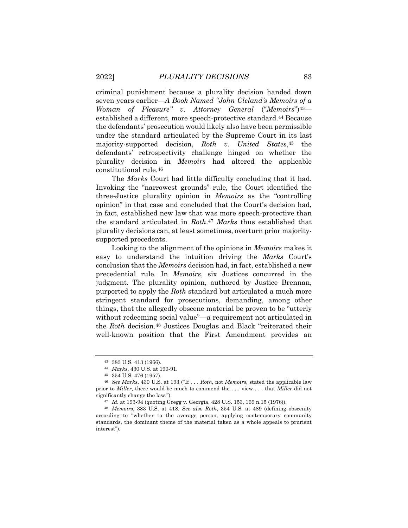criminal punishment because a plurality decision handed down seven years earlier—*A Book Named "John Cleland's Memoirs of a Woman of Pleasure" v. Attorney General* ("*Memoirs*")43 established a different, more speech-protective standard.44 Because the defendants' prosecution would likely also have been permissible under the standard articulated by the Supreme Court in its last majority-supported decision, *Roth v. United States*,45 the defendants' retrospectivity challenge hinged on whether the plurality decision in *Memoirs* had altered the applicable constitutional rule.46

The *Marks* Court had little difficulty concluding that it had. Invoking the "narrowest grounds" rule, the Court identified the three-Justice plurality opinion in *Memoirs* as the "controlling opinion" in that case and concluded that the Court's decision had, in fact, established new law that was more speech-protective than the standard articulated in *Roth*.47 *Marks* thus established that plurality decisions can, at least sometimes, overturn prior majoritysupported precedents.

Looking to the alignment of the opinions in *Memoirs* makes it easy to understand the intuition driving the *Marks* Court's conclusion that the *Memoirs* decision had, in fact, established a new precedential rule. In *Memoirs*, six Justices concurred in the judgment. The plurality opinion, authored by Justice Brennan, purported to apply the *Roth* standard but articulated a much more stringent standard for prosecutions, demanding, among other things, that the allegedly obscene material be proven to be "utterly without redeeming social value"—a requirement not articulated in the *Roth* decision.48 Justices Douglas and Black "reiterated their well-known position that the First Amendment provides an

<sup>43 383</sup> U.S. 413 (1966).

<sup>44</sup> *Marks*, 430 U.S. at 190-91.

<sup>45 354</sup> U.S. 476 (1957).

<sup>46</sup> *See Marks*, 430 U.S. at 193 ("If . . . *Roth*, not *Memoirs*, stated the applicable law prior to *Miller*, there would be much to commend the . . . view . . . that *Miller* did not significantly change the law.").

<sup>47</sup> *Id.* at 193-94 (quoting Gregg v. Georgia, 428 U.S. 153, 169 n.15 (1976)).

<sup>48</sup> *Memoirs*, 383 U.S. at 418. *See also Roth*, 354 U.S. at 489 (defining obscenity according to "whether to the average person, applying contemporary community standards, the dominant theme of the material taken as a whole appeals to prurient interest").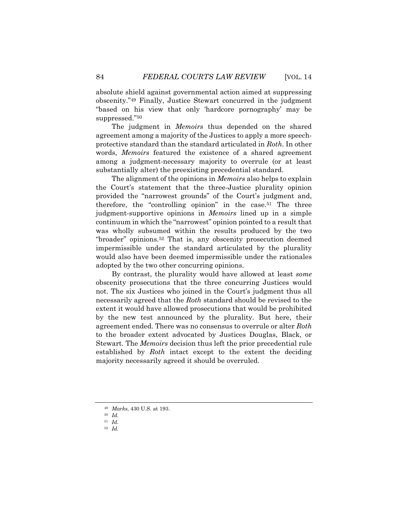absolute shield against governmental action aimed at suppressing obscenity."49 Finally, Justice Stewart concurred in the judgment "based on his view that only 'hardcore pornography' may be suppressed."50

The judgment in *Memoirs* thus depended on the shared agreement among a majority of the Justices to apply a more speechprotective standard than the standard articulated in *Roth*. In other words, *Memoirs* featured the existence of a shared agreement among a judgment-necessary majority to overrule (or at least substantially alter) the preexisting precedential standard.

The alignment of the opinions in *Memoirs* also helps to explain the Court's statement that the three-Justice plurality opinion provided the "narrowest grounds" of the Court's judgment and, therefore, the "controlling opinion" in the case.51 The three judgment-supportive opinions in *Memoirs* lined up in a simple continuum in which the "narrowest" opinion pointed to a result that was wholly subsumed within the results produced by the two "broader" opinions.52 That is, any obscenity prosecution deemed impermissible under the standard articulated by the plurality would also have been deemed impermissible under the rationales adopted by the two other concurring opinions.

By contrast, the plurality would have allowed at least *some* obscenity prosecutions that the three concurring Justices would not. The six Justices who joined in the Court's judgment thus all necessarily agreed that the *Roth* standard should be revised to the extent it would have allowed prosecutions that would be prohibited by the new test announced by the plurality. But here, their agreement ended. There was no consensus to overrule or alter *Roth* to the broader extent advocated by Justices Douglas, Black, or Stewart. The *Memoirs* decision thus left the prior precedential rule established by *Roth* intact except to the extent the deciding majority necessarily agreed it should be overruled.

<sup>49</sup> *Marks*, 430 U.S. at 193.

<sup>50</sup> *Id.*

<sup>51</sup> *Id.* 

<sup>52</sup> *Id.*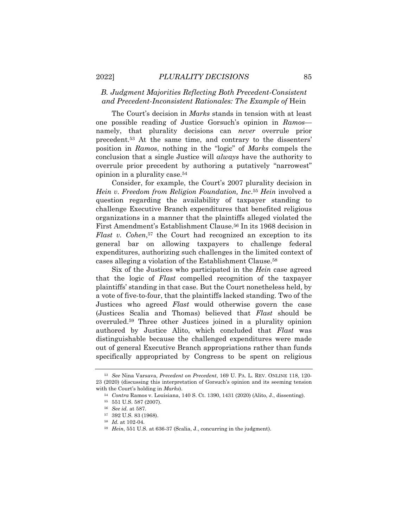### *B. Judgment Majorities Reflecting Both Precedent-Consistent and Precedent-Inconsistent Rationales: The Example of* Hein

The Court's decision in *Marks* stands in tension with at least one possible reading of Justice Gorsuch's opinion in *Ramos* namely, that plurality decisions can *never* overrule prior precedent.53 At the same time, and contrary to the dissenters' position in *Ramos*, nothing in the "logic" of *Marks* compels the conclusion that a single Justice will *always* have the authority to overrule prior precedent by authoring a putatively "narrowest" opinion in a plurality case.54

Consider, for example, the Court's 2007 plurality decision in *Hein v. Freedom from Religion Foundation, Inc*.55 *Hein* involved a question regarding the availability of taxpayer standing to challenge Executive Branch expenditures that benefited religious organizations in a manner that the plaintiffs alleged violated the First Amendment's Establishment Clause.56 In its 1968 decision in *Flast v. Cohen*,<sup>57</sup> the Court had recognized an exception to its general bar on allowing taxpayers to challenge federal expenditures, authorizing such challenges in the limited context of cases alleging a violation of the Establishment Clause.58

Six of the Justices who participated in the *Hein* case agreed that the logic of *Flast* compelled recognition of the taxpayer plaintiffs' standing in that case. But the Court nonetheless held, by a vote of five-to-four, that the plaintiffs lacked standing. Two of the Justices who agreed *Flast* would otherwise govern the case (Justices Scalia and Thomas) believed that *Flast* should be overruled.59 Three other Justices joined in a plurality opinion authored by Justice Alito, which concluded that *Flast* was distinguishable because the challenged expenditures were made out of general Executive Branch appropriations rather than funds specifically appropriated by Congress to be spent on religious

<sup>53</sup> *See* Nina Varsava, *Precedent on Precedent*, 169 U. PA. L. REV. ONLINE 118, 120- 23 (2020) (discussing this interpretation of Gorsuch's opinion and its seeming tension with the Court's holding in *Marks*).

<sup>54</sup> *Contra* Ramos v. Louisiana, 140 S. Ct. 1390, 1431 (2020) (Alito, J., dissenting). 55 551 U.S. 587 (2007).

<sup>56</sup> *See id.* at 587.

<sup>57 392</sup> U.S. 83 (1968).

<sup>58</sup> *Id.* at 102-04.

<sup>59</sup> *Hein*, 551 U.S. at 636-37 (Scalia, J., concurring in the judgment).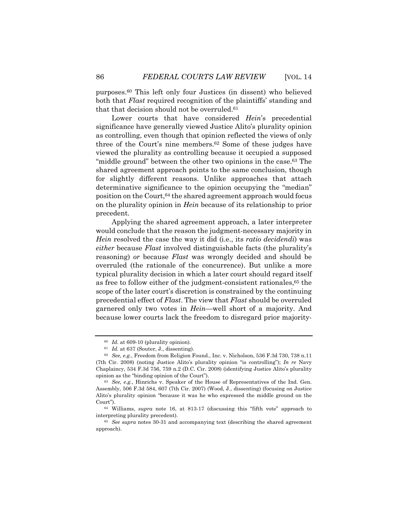purposes.60 This left only four Justices (in dissent) who believed both that *Flast* required recognition of the plaintiffs' standing and that that decision should not be overruled.<sup>61</sup>

Lower courts that have considered *Hein*'s precedential significance have generally viewed Justice Alito's plurality opinion as controlling, even though that opinion reflected the views of only three of the Court's nine members.62 Some of these judges have viewed the plurality as controlling because it occupied a supposed "middle ground" between the other two opinions in the case.<sup>63</sup> The shared agreement approach points to the same conclusion, though for slightly different reasons. Unlike approaches that attach determinative significance to the opinion occupying the "median" position on the Court, <sup>64</sup> the shared agreement approach would focus on the plurality opinion in *Hein* because of its relationship to prior precedent.

Applying the shared agreement approach, a later interpreter would conclude that the reason the judgment-necessary majority in *Hein* resolved the case the way it did (i.e., its *ratio decidendi*) was *either* because *Flast* involved distinguishable facts (the plurality's reasoning) *or* because *Flast* was wrongly decided and should be overruled (the rationale of the concurrence). But unlike a more typical plurality decision in which a later court should regard itself as free to follow either of the judgment-consistent rationales,65 the scope of the later court's discretion is constrained by the continuing precedential effect of *Flast*. The view that *Flast* should be overruled garnered only two votes in *Hein*—well short of a majority. And because lower courts lack the freedom to disregard prior majority-

<sup>60</sup> *Id.* at 609-10 (plurality opinion).

 $61$  *Id.* at 637 (Souter, J., dissenting).

<sup>62</sup> *See, e.g.*, Freedom from Religion Found., Inc. v. Nicholson, 536 F.3d 730, 738 n.11 (7th Cir. 2008) (noting Justice Alito's plurality opinion "is controlling"); *In re* Navy Chaplaincy, 534 F.3d 756, 759 n.2 (D.C. Cir. 2008) (identifying Justice Alito's plurality opinion as the "binding opinion of the Court").

<sup>63</sup> *See, e.g.*, Hinrichs v. Speaker of the House of Representatives of the Ind. Gen. Assembly, 506 F.3d 584, 607 (7th Cir. 2007) (Wood, J., dissenting) (focusing on Justice Alito's plurality opinion "because it was he who expressed the middle ground on the Court").

<sup>64</sup> Williams, *supra* note 16, at 813-17 (discussing this "fifth vote" approach to interpreting plurality precedent).

<sup>65</sup> *See supra* notes 30-31 and accompanying text (describing the shared agreement approach).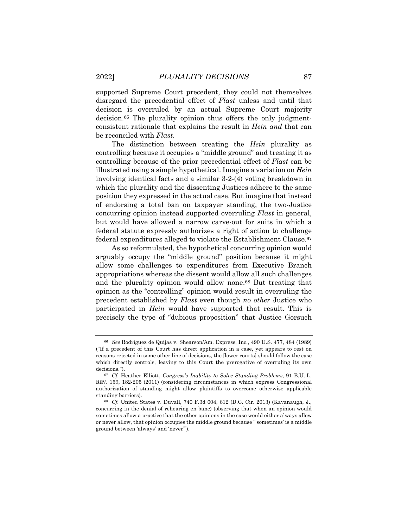supported Supreme Court precedent, they could not themselves disregard the precedential effect of *Flast* unless and until that decision is overruled by an actual Supreme Court majority decision.66 The plurality opinion thus offers the only judgmentconsistent rationale that explains the result in *Hein and* that can be reconciled with *Flast*.

The distinction between treating the *Hein* plurality as controlling because it occupies a "middle ground" and treating it as controlling because of the prior precedential effect of *Flast* can be illustrated using a simple hypothetical. Imagine a variation on *Hein* involving identical facts and a similar 3-2-(4) voting breakdown in which the plurality and the dissenting Justices adhere to the same position they expressed in the actual case. But imagine that instead of endorsing a total ban on taxpayer standing, the two-Justice concurring opinion instead supported overruling *Flast* in general, but would have allowed a narrow carve-out for suits in which a federal statute expressly authorizes a right of action to challenge federal expenditures alleged to violate the Establishment Clause.67

As so reformulated, the hypothetical concurring opinion would arguably occupy the "middle ground" position because it might allow some challenges to expenditures from Executive Branch appropriations whereas the dissent would allow all such challenges and the plurality opinion would allow none.68 But treating that opinion as the "controlling" opinion would result in overruling the precedent established by *Flast* even though *no other* Justice who participated in *Hein* would have supported that result. This is precisely the type of "dubious proposition" that Justice Gorsuch

<sup>66</sup> *See* Rodriguez de Quijas v. Shearson/Am. Express, Inc., 490 U.S. 477, 484 (1989) ("If a precedent of this Court has direct application in a case, yet appears to rest on reasons rejected in some other line of decisions, the [lower courts] should follow the case which directly controls, leaving to this Court the prerogative of overruling its own decisions.").

<sup>67</sup> *Cf.* Heather Elliott, *Congress's Inability to Solve Standing Problems*, 91 B.U. L. REV. 159, 182-205 (2011) (considering circumstances in which express Congressional authorization of standing might allow plaintiffs to overcome otherwise applicable standing barriers).

<sup>68</sup> *Cf.* United States v. Duvall, 740 F.3d 604, 612 (D.C. Cir. 2013) (Kavanaugh, J., concurring in the denial of rehearing en banc) (observing that when an opinion would sometimes allow a practice that the other opinions in the case would either always allow or never allow, that opinion occupies the middle ground because "'sometimes' is a middle ground between 'always' and 'never'").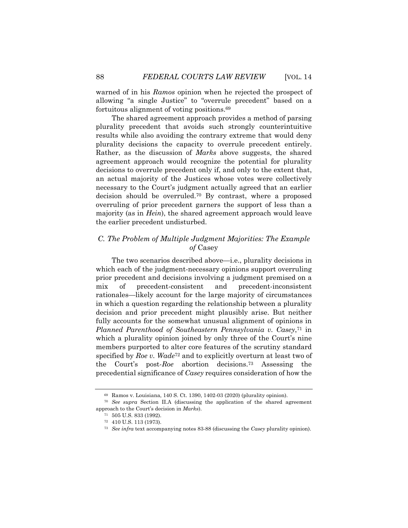warned of in his *Ramos* opinion when he rejected the prospect of allowing "a single Justice" to "overrule precedent" based on a fortuitous alignment of voting positions.69

The shared agreement approach provides a method of parsing plurality precedent that avoids such strongly counterintuitive results while also avoiding the contrary extreme that would deny plurality decisions the capacity to overrule precedent entirely. Rather, as the discussion of *Marks* above suggests, the shared agreement approach would recognize the potential for plurality decisions to overrule precedent only if, and only to the extent that, an actual majority of the Justices whose votes were collectively necessary to the Court's judgment actually agreed that an earlier decision should be overruled.70 By contrast, where a proposed overruling of prior precedent garners the support of less than a majority (as in *Hein*), the shared agreement approach would leave the earlier precedent undisturbed.

#### *C. The Problem of Multiple Judgment Majorities: The Example of* Casey

The two scenarios described above—i.e., plurality decisions in which each of the judgment-necessary opinions support overruling prior precedent and decisions involving a judgment premised on a mix of precedent-consistent and precedent-inconsistent rationales—likely account for the large majority of circumstances in which a question regarding the relationship between a plurality decision and prior precedent might plausibly arise. But neither fully accounts for the somewhat unusual alignment of opinions in *Planned Parenthood of Southeastern Pennsylvania v. Casey*,71 in which a plurality opinion joined by only three of the Court's nine members purported to alter core features of the scrutiny standard specified by *Roe v. Wade*72 and to explicitly overturn at least two of the Court's post-*Roe* abortion decisions.73 Assessing the precedential significance of *Casey* requires consideration of how the

<sup>69</sup> Ramos v. Louisiana, 140 S. Ct. 1390, 1402-03 (2020) (plurality opinion). 70 *See supra* Section II.A (discussing the application of the shared agreement approach to the Court's decision in *Marks*).

<sup>71 505</sup> U.S. 833 (1992).

<sup>72 410</sup> U.S. 113 (1973).

<sup>73</sup> *See infra* text accompanying notes 83-88 (discussing the *Casey* plurality opinion).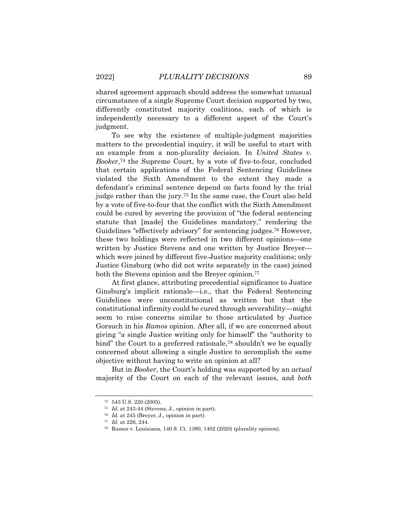shared agreement approach should address the somewhat unusual circumstance of a single Supreme Court decision supported by two, differently constituted majority coalitions, each of which is independently necessary to a different aspect of the Court's judgment.

To see why the existence of multiple-judgment majorities matters to the precedential inquiry, it will be useful to start with an example from a non-plurality decision. In *United States v. Booker*,74 the Supreme Court, by a vote of five-to-four, concluded that certain applications of the Federal Sentencing Guidelines violated the Sixth Amendment to the extent they made a defendant's criminal sentence depend on facts found by the trial judge rather than the jury.75 In the same case, the Court also held by a vote of five-to-four that the conflict with the Sixth Amendment could be cured by severing the provision of "the federal sentencing statute that [made] the Guidelines mandatory," rendering the Guidelines "effectively advisory" for sentencing judges.76 However, these two holdings were reflected in two different opinions—one written by Justice Stevens and one written by Justice Breyer which were joined by different five-Justice majority coalitions; only Justice Ginsburg (who did not write separately in the case) joined both the Stevens opinion and the Breyer opinion.<sup>77</sup>

At first glance, attributing precedential significance to Justice Ginsburg's implicit rationale—i.e., that the Federal Sentencing Guidelines were unconstitutional as written but that the constitutional infirmity could be cured through severability—might seem to raise concerns similar to those articulated by Justice Gorsuch in his *Ramos* opinion. After all, if we are concerned about giving "a single Justice writing only for himself" the "authority to bind" the Court to a preferred rationale,<sup>78</sup> shouldn't we be equally concerned about allowing a single Justice to accomplish the same objective without having to write an opinion at all?

But in *Booker*, the Court's holding was supported by an *actual* majority of the Court on each of the relevant issues, and *both*

<sup>74 543</sup> U.S. 220 (2005).

<sup>75</sup> *Id.* at 243-44 (Stevens, J., opinion in part).

<sup>76</sup> *Id.* at 245 (Breyer, J., opinion in part).

<sup>77</sup> *Id.* at 226, 244.

<sup>78</sup> Ramos v. Louisiana, 140 S. Ct. 1390, 1402 (2020) (plurality opinion).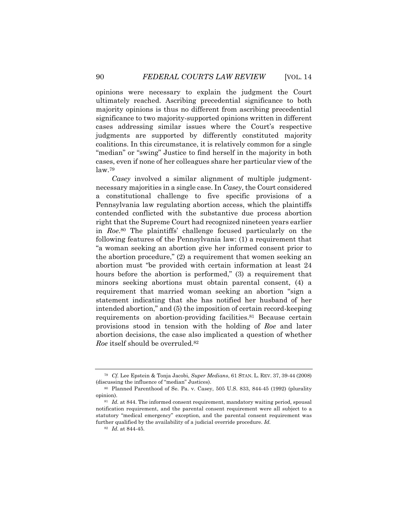opinions were necessary to explain the judgment the Court ultimately reached. Ascribing precedential significance to both majority opinions is thus no different from ascribing precedential significance to two majority-supported opinions written in different cases addressing similar issues where the Court's respective judgments are supported by differently constituted majority coalitions. In this circumstance, it is relatively common for a single "median" or "swing" Justice to find herself in the majority in both cases, even if none of her colleagues share her particular view of the law.79

*Casey* involved a similar alignment of multiple judgmentnecessary majorities in a single case. In *Casey*, the Court considered a constitutional challenge to five specific provisions of a Pennsylvania law regulating abortion access, which the plaintiffs contended conflicted with the substantive due process abortion right that the Supreme Court had recognized nineteen years earlier in *Roe*.80 The plaintiffs' challenge focused particularly on the following features of the Pennsylvania law: (1) a requirement that "a woman seeking an abortion give her informed consent prior to the abortion procedure," (2) a requirement that women seeking an abortion must "be provided with certain information at least 24 hours before the abortion is performed," (3) a requirement that minors seeking abortions must obtain parental consent, (4) a requirement that married woman seeking an abortion "sign a statement indicating that she has notified her husband of her intended abortion," and (5) the imposition of certain record-keeping requirements on abortion-providing facilities.<sup>81</sup> Because certain provisions stood in tension with the holding of *Roe* and later abortion decisions, the case also implicated a question of whether *Roe* itself should be overruled.82

<sup>79</sup> *Cf.* Lee Epstein & Tonja Jacobi, *Super Medians*, 61 STAN. L. REV. 37, 39-44 (2008) (discussing the influence of "median" Justices).

<sup>80</sup> Planned Parenthood of Se. Pa. v. Casey, 505 U.S. 833, 844-45 (1992) (plurality opinion).

<sup>&</sup>lt;sup>81</sup> Id. at 844. The informed consent requirement, mandatory waiting period, spousal notification requirement, and the parental consent requirement were all subject to a statutory "medical emergency" exception, and the parental consent requirement was further qualified by the availability of a judicial override procedure. *Id.* 

<sup>82</sup> *Id.* at 844-45.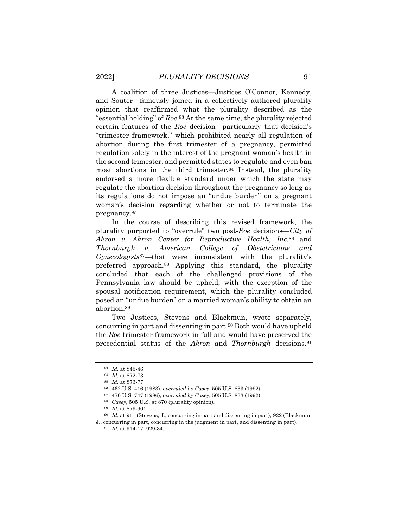A coalition of three Justices—Justices O'Connor, Kennedy, and Souter—famously joined in a collectively authored plurality opinion that reaffirmed what the plurality described as the "essential holding" of *Roe*.83 At the same time, the plurality rejected certain features of the *Roe* decision—particularly that decision's "trimester framework," which prohibited nearly all regulation of abortion during the first trimester of a pregnancy, permitted regulation solely in the interest of the pregnant woman's health in the second trimester, and permitted states to regulate and even ban most abortions in the third trimester.84 Instead, the plurality endorsed a more flexible standard under which the state may regulate the abortion decision throughout the pregnancy so long as its regulations do not impose an "undue burden" on a pregnant woman's decision regarding whether or not to terminate the pregnancy.85

In the course of describing this revised framework, the plurality purported to "overrule" two post-*Roe* decisions—*City of Akron v. Akron Center for Reproductive Health, Inc.*<sup>86</sup> and *Thornburgh v. American College of Obstetricians and Gynecologists*87—that were inconsistent with the plurality's preferred approach.88 Applying this standard, the plurality concluded that each of the challenged provisions of the Pennsylvania law should be upheld, with the exception of the spousal notification requirement, which the plurality concluded posed an "undue burden" on a married woman's ability to obtain an abortion.89

Two Justices, Stevens and Blackmun, wrote separately, concurring in part and dissenting in part.90 Both would have upheld the *Roe* trimester framework in full and would have preserved the precedential status of the *Akron* and *Thornburgh* decisions.91

<sup>83</sup> *Id.* at 845-46.

<sup>84</sup> *Id.* at 872-73.

<sup>85</sup> *Id.* at 873-77.

<sup>86 462</sup> U.S. 416 (1983), *overruled by Casey*, 505 U.S. 833 (1992).

<sup>87 476</sup> U.S. 747 (1986), *overruled by Casey*, 505 U.S. 833 (1992). 88 *Casey*, 505 U.S. at 870 (plurality opinion).

<sup>89</sup> *Id.* at 879-901.

<sup>90</sup> *Id.* at 911 (Stevens, J., concurring in part and dissenting in part), 922 (Blackmun,

J., concurring in part, concurring in the judgment in part, and dissenting in part).

<sup>91</sup> *Id.* at 914-17, 929-34.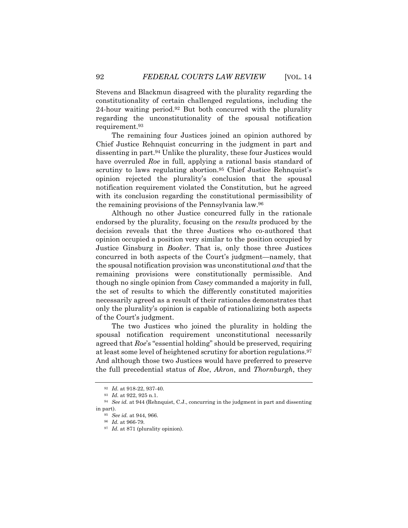Stevens and Blackmun disagreed with the plurality regarding the constitutionality of certain challenged regulations, including the 24-hour waiting period.92 But both concurred with the plurality regarding the unconstitutionality of the spousal notification requirement.93

The remaining four Justices joined an opinion authored by Chief Justice Rehnquist concurring in the judgment in part and dissenting in part.94 Unlike the plurality, these four Justices would have overruled *Roe* in full, applying a rational basis standard of scrutiny to laws regulating abortion.<sup>95</sup> Chief Justice Rehnquist's opinion rejected the plurality's conclusion that the spousal notification requirement violated the Constitution, but he agreed with its conclusion regarding the constitutional permissibility of the remaining provisions of the Pennsylvania law.96

Although no other Justice concurred fully in the rationale endorsed by the plurality, focusing on the *results* produced by the decision reveals that the three Justices who co-authored that opinion occupied a position very similar to the position occupied by Justice Ginsburg in *Booker*. That is, only those three Justices concurred in both aspects of the Court's judgment—namely, that the spousal notification provision was unconstitutional *and* that the remaining provisions were constitutionally permissible. And though no single opinion from *Casey* commanded a majority in full, the set of results to which the differently constituted majorities necessarily agreed as a result of their rationales demonstrates that only the plurality's opinion is capable of rationalizing both aspects of the Court's judgment.

The two Justices who joined the plurality in holding the spousal notification requirement unconstitutional necessarily agreed that *Roe*'s "essential holding" should be preserved, requiring at least some level of heightened scrutiny for abortion regulations.97 And although those two Justices would have preferred to preserve the full precedential status of *Roe*, *Akron*, and *Thornburgh*, they

<sup>92</sup> *Id.* at 918-22, 937-40.

<sup>93</sup> *Id.* at 922, 925 n.1. 94 *See id.* at 944 (Rehnquist, C.J., concurring in the judgment in part and dissenting in part).

<sup>95</sup> *See id.* at 944, 966.

<sup>96</sup> *Id.* at 966-79.

<sup>97</sup> *Id.* at 871 (plurality opinion).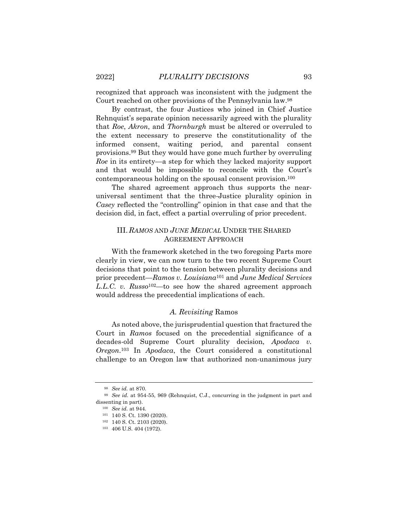recognized that approach was inconsistent with the judgment the Court reached on other provisions of the Pennsylvania law.98

By contrast, the four Justices who joined in Chief Justice Rehnquist's separate opinion necessarily agreed with the plurality that *Roe*, *Akron*, and *Thornburgh* must be altered or overruled to the extent necessary to preserve the constitutionality of the informed consent, waiting period, and parental consent provisions.99 But they would have gone much further by overruling *Roe* in its entirety—a step for which they lacked majority support and that would be impossible to reconcile with the Court's contemporaneous holding on the spousal consent provision.100

The shared agreement approach thus supports the nearuniversal sentiment that the three-Justice plurality opinion in *Casey* reflected the "controlling" opinion in that case and that the decision did, in fact, effect a partial overruling of prior precedent.

## III. *RAMOS* AND *JUNE MEDICAL* UNDER THE SHARED AGREEMENT APPROACH

With the framework sketched in the two foregoing Parts more clearly in view, we can now turn to the two recent Supreme Court decisions that point to the tension between plurality decisions and prior precedent—*Ramos v. Louisiana*<sup>101</sup> and *June Medical Services L.L.C. v. Russo*102—to see how the shared agreement approach would address the precedential implications of each.

#### *A. Revisiting* Ramos

As noted above, the jurisprudential question that fractured the Court in *Ramos* focused on the precedential significance of a decades-old Supreme Court plurality decision, *Apodaca v. Oregon*.103 In *Apodaca*, the Court considered a constitutional challenge to an Oregon law that authorized non-unanimous jury

<sup>98</sup> *See id.* at 870.

<sup>99</sup> *See id.* at 954-55, 969 (Rehnquist, C.J., concurring in the judgment in part and dissenting in part).

<sup>100</sup> *See id.* at 944.

<sup>101 140</sup> S. Ct. 1390 (2020).

<sup>102 140</sup> S. Ct. 2103 (2020).

<sup>103 406</sup> U.S. 404 (1972).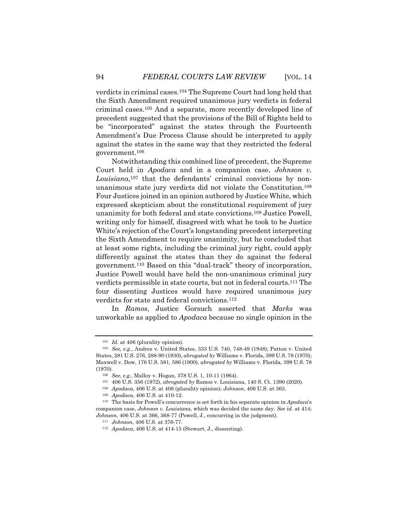verdicts in criminal cases.104 The Supreme Court had long held that the Sixth Amendment required unanimous jury verdicts in federal criminal cases.105 And a separate, more recently developed line of precedent suggested that the provisions of the Bill of Rights held to be "incorporated" against the states through the Fourteenth Amendment's Due Process Clause should be interpreted to apply against the states in the same way that they restricted the federal government.106

Notwithstanding this combined line of precedent, the Supreme Court held in *Apodaca* and in a companion case, *Johnson v. Louisiana*,107 that the defendants' criminal convictions by nonunanimous state jury verdicts did not violate the Constitution.108 Four Justices joined in an opinion authored by Justice White, which expressed skepticism about the constitutional requirement of jury unanimity for both federal and state convictions.109 Justice Powell, writing only for himself, disagreed with what he took to be Justice White's rejection of the Court's longstanding precedent interpreting the Sixth Amendment to require unanimity, but he concluded that at least some rights, including the criminal jury right, could apply differently against the states than they do against the federal government.110 Based on this "dual-track" theory of incorporation, Justice Powell would have held the non-unanimous criminal jury verdicts permissible in state courts, but not in federal courts.111 The four dissenting Justices would have required unanimous jury verdicts for state and federal convictions.112

In *Ramos*, Justice Gorsuch asserted that *Marks* was unworkable as applied to *Apodaca* because no single opinion in the

<sup>104</sup> *Id.* at 406 (plurality opinion).

<sup>105</sup> *See, e.g.*, Andres v. United States, 333 U.S. 740, 748-49 (1948); Patton v. United States, 281 U.S. 276, 288-90 (1930), *abrogated by* Williams v. Florida, 399 U.S. 78 (1970); Maxwell v. Dow, 176 U.S. 581, 586 (1900), *abrogated by* Williams v. Florida, 399 U.S. 78 (1970).

<sup>106</sup> *See, e.g.*, Malloy v. Hogan, 378 U.S. 1, 10-11 (1964).

<sup>107 406</sup> U.S. 356 (1972), *abrogated by* Ramos v. Louisiana, 140 S. Ct. 1390 (2020).

<sup>108</sup> *Apodaca*, 406 U.S. at 406 (plurality opinion); *Johnson*, 406 U.S. at 363.

<sup>109</sup> *Apodaca*, 406 U.S. at 410-12. 110 The basis for Powell's concurrence is set forth in his separate opinion in *Apodaca*'s companion case, *Johnson v. Louisiana*, which was decided the same day. *See id.* at 414; *Johnson*, 406 U.S. at 366, 368-77 (Powell, J., concurring in the judgment).

<sup>111</sup> *Johnson*, 406 U.S. at 376-77.

<sup>112</sup> *Apodaca*, 406 U.S. at 414-15 (Stewart, J., dissenting).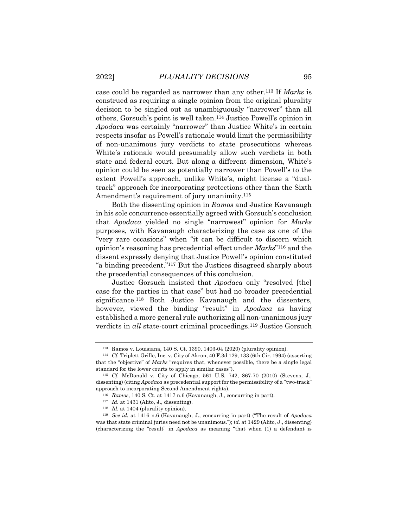case could be regarded as narrower than any other.113 If *Marks* is construed as requiring a single opinion from the original plurality decision to be singled out as unambiguously "narrower" than all others, Gorsuch's point is well taken.114 Justice Powell's opinion in *Apodaca* was certainly "narrower" than Justice White's in certain respects insofar as Powell's rationale would limit the permissibility of non-unanimous jury verdicts to state prosecutions whereas White's rationale would presumably allow such verdicts in both state and federal court. But along a different dimension, White's opinion could be seen as potentially narrower than Powell's to the extent Powell's approach, unlike White's, might license a "dualtrack" approach for incorporating protections other than the Sixth Amendment's requirement of jury unanimity.<sup>115</sup>

Both the dissenting opinion in *Ramos* and Justice Kavanaugh in his sole concurrence essentially agreed with Gorsuch's conclusion that *Apodaca* yielded no single "narrowest" opinion for *Marks* purposes, with Kavanaugh characterizing the case as one of the "very rare occasions" when "it can be difficult to discern which opinion's reasoning has precedential effect under *Marks*"116 and the dissent expressly denying that Justice Powell's opinion constituted "a binding precedent."117 But the Justices disagreed sharply about the precedential consequences of this conclusion.

Justice Gorsuch insisted that *Apodaca* only "resolved [the] case for the parties in that case" but had no broader precedential significance.<sup>118</sup> Both Justice Kavanaugh and the dissenters, however, viewed the binding "result" in *Apodaca* as having established a more general rule authorizing all non-unanimous jury verdicts in *all* state-court criminal proceedings.119 Justice Gorsuch

<sup>113</sup> Ramos v. Louisiana, 140 S. Ct. 1390, 1403-04 (2020) (plurality opinion).

<sup>114</sup> *Cf.* Triplett Grille, Inc. v. City of Akron, 40 F.3d 129, 133 (6th Cir. 1994) (asserting that the "objective" of *Marks* "requires that, whenever possible, there be a single legal standard for the lower courts to apply in similar cases").

<sup>115</sup> *Cf.* McDonald v. City of Chicago, 561 U.S. 742, 867-70 (2010) (Stevens, J., dissenting) (citing *Apodaca* as precedential support for the permissibility of a "two-track" approach to incorporating Second Amendment rights).

<sup>116</sup> *Ramos*, 140 S. Ct. at 1417 n.6 (Kavanaugh, J., concurring in part). 117 *Id.* at 1431 (Alito, J., dissenting).

<sup>118</sup> *Id.* at 1404 (plurality opinion).

<sup>119</sup> *See id.* at 1416 n.6 (Kavanaugh, J., concurring in part) ("The result of *Apodaca* was that state criminal juries need not be unanimous."); *id.* at 1429 (Alito, J., dissenting) (characterizing the "result" in *Apodaca* as meaning "that when (1) a defendant is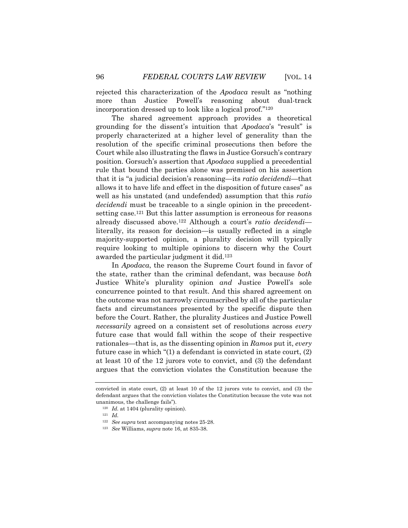rejected this characterization of the *Apodaca* result as "nothing more than Justice Powell's reasoning about dual-track incorporation dressed up to look like a logical proof."120

The shared agreement approach provides a theoretical grounding for the dissent's intuition that *Apodaca*'s "result" is properly characterized at a higher level of generality than the resolution of the specific criminal prosecutions then before the Court while also illustrating the flaws in Justice Gorsuch's contrary position. Gorsuch's assertion that *Apodaca* supplied a precedential rule that bound the parties alone was premised on his assertion that it is "a judicial decision's reasoning—its *ratio decidendi*—that allows it to have life and effect in the disposition of future cases" as well as his unstated (and undefended) assumption that this *ratio decidendi* must be traceable to a single opinion in the precedentsetting case.121 But this latter assumption is erroneous for reasons already discussed above.122 Although a court's *ratio decidendi* literally, its reason for decision—is usually reflected in a single majority-supported opinion, a plurality decision will typically require looking to multiple opinions to discern why the Court awarded the particular judgment it did.123

In *Apodaca*, the reason the Supreme Court found in favor of the state, rather than the criminal defendant, was because *both* Justice White's plurality opinion *and* Justice Powell's sole concurrence pointed to that result. And this shared agreement on the outcome was not narrowly circumscribed by all of the particular facts and circumstances presented by the specific dispute then before the Court. Rather, the plurality Justices and Justice Powell *necessarily* agreed on a consistent set of resolutions across *every* future case that would fall within the scope of their respective rationales—that is, as the dissenting opinion in *Ramos* put it, *every*  future case in which "(1) a defendant is convicted in state court, (2) at least 10 of the 12 jurors vote to convict, and (3) the defendant argues that the conviction violates the Constitution because the

convicted in state court, (2) at least 10 of the 12 jurors vote to convict, and (3) the defendant argues that the conviction violates the Constitution because the vote was not unanimous, the challenge fails").

<sup>120</sup> *Id.* at 1404 (plurality opinion).

<sup>121</sup> *Id.*

<sup>122</sup> *See supra* text accompanying notes 25-28.

<sup>123</sup> *See* Williams, *supra* note 16, at 835-38.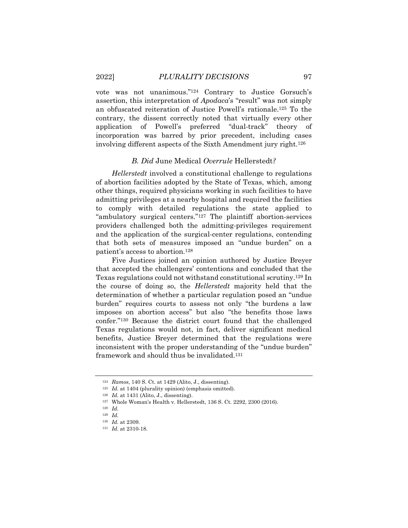vote was not unanimous."124 Contrary to Justice Gorsuch's assertion, this interpretation of *Apodaca*'s "result" was not simply an obfuscated reiteration of Justice Powell's rationale.125 To the contrary, the dissent correctly noted that virtually every other application of Powell's preferred "dual-track" theory incorporation was barred by prior precedent, including cases involving different aspects of the Sixth Amendment jury right.126

#### *B. Did* June Medical *Overrule* Hellerstedt*?*

*Hellerstedt* involved a constitutional challenge to regulations of abortion facilities adopted by the State of Texas, which, among other things, required physicians working in such facilities to have admitting privileges at a nearby hospital and required the facilities to comply with detailed regulations the state applied to "ambulatory surgical centers."127 The plaintiff abortion-services providers challenged both the admitting-privileges requirement and the application of the surgical-center regulations, contending that both sets of measures imposed an "undue burden" on a patient's access to abortion.128

Five Justices joined an opinion authored by Justice Breyer that accepted the challengers' contentions and concluded that the Texas regulations could not withstand constitutional scrutiny.129 In the course of doing so, the *Hellerstedt* majority held that the determination of whether a particular regulation posed an "undue burden" requires courts to assess not only "the burdens a law imposes on abortion access" but also "the benefits those laws confer."130 Because the district court found that the challenged Texas regulations would not, in fact, deliver significant medical benefits, Justice Breyer determined that the regulations were inconsistent with the proper understanding of the "undue burden" framework and should thus be invalidated.131

<sup>124</sup> *Ramos*, 140 S. Ct. at 1429 (Alito, J., dissenting).

<sup>&</sup>lt;sup>125</sup> *Id.* at 1404 (plurality opinion) (emphasis omitted).

<sup>126</sup> *Id.* at 1431 (Alito, J., dissenting). 127 Whole Woman's Health v. Hellerstedt, 136 S. Ct. 2292, 2300 (2016).

<sup>128</sup> *Id.* 

<sup>129</sup> *Id.*

<sup>130</sup> *Id.* at 2309.

<sup>131</sup> *Id.* at 2310-18.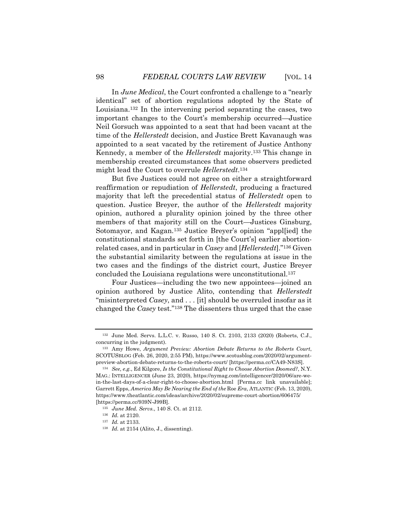In *June Medical*, the Court confronted a challenge to a "nearly identical" set of abortion regulations adopted by the State of Louisiana.132 In the intervening period separating the cases, two important changes to the Court's membership occurred—Justice Neil Gorsuch was appointed to a seat that had been vacant at the time of the *Hellerstedt* decision, and Justice Brett Kavanaugh was appointed to a seat vacated by the retirement of Justice Anthony Kennedy, a member of the *Hellerstedt* majority.133 This change in membership created circumstances that some observers predicted might lead the Court to overrule *Hellerstedt*.134

But five Justices could not agree on either a straightforward reaffirmation or repudiation of *Hellerstedt*, producing a fractured majority that left the precedential status of *Hellerstedt* open to question. Justice Breyer, the author of the *Hellerstedt* majority opinion, authored a plurality opinion joined by the three other members of that majority still on the Court—Justices Ginsburg, Sotomayor, and Kagan.135 Justice Breyer's opinion "appl[ied] the constitutional standards set forth in [the Court's] earlier abortionrelated cases, and in particular in *Casey* and [*Hellerstedt*]."136 Given the substantial similarity between the regulations at issue in the two cases and the findings of the district court, Justice Breyer concluded the Louisiana regulations were unconstitutional.137

Four Justices—including the two new appointees—joined an opinion authored by Justice Alito, contending that *Hellerstedt* "misinterpreted *Casey*, and . . . [it] should be overruled insofar as it changed the *Casey* test."138 The dissenters thus urged that the case

<sup>132</sup> June Med. Servs. L.L.C. v. Russo, 140 S. Ct. 2103, 2133 (2020) (Roberts, C.J., concurring in the judgment).

<sup>133</sup> Amy Howe, *Argument Preview: Abortion Debate Returns to the Roberts Court*, SCOTUSBLOG (Feb. 26, 2020, 2:55 PM), https://www.scotusblog.com/2020/02/argumentpreview-abortion-debate-returns-to-the-roberts-court/ [https://perma.cc/CA49-N83S].

<sup>134</sup> *See, e.g.*, Ed Kilgore, *Is the Constitutional Right to Choose Abortion Doomed?*, N.Y. MAG.: INTELLIGENCER (June 23, 2020), https://nymag.com/intelligencer/2020/06/are-wein-the-last-days-of-a-clear-right-to-choose-abortion.html [Perma.cc link unavailable]; Garrett Epps, *America May Be Nearing the End of the* Roe *Era*, ATLANTIC (Feb. 13, 2020), https://www.theatlantic.com/ideas/archive/2020/02/supreme-court-abortion/606475/ [https://perma.cc/939N-J99B].

<sup>135</sup> *June Med. Servs.*, 140 S. Ct. at 2112.

<sup>136</sup> *Id.* at 2120.

<sup>137</sup> *Id.* at 2133.

<sup>138</sup> *Id.* at 2154 (Alito, J., dissenting).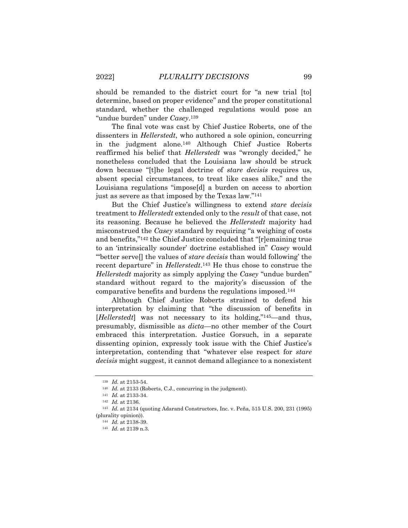should be remanded to the district court for "a new trial [to] determine, based on proper evidence" and the proper constitutional standard, whether the challenged regulations would pose an "undue burden" under *Casey*.139

The final vote was cast by Chief Justice Roberts, one of the dissenters in *Hellerstedt*, who authored a sole opinion, concurring in the judgment alone.140 Although Chief Justice Roberts reaffirmed his belief that *Hellerstedt* was "wrongly decided," he nonetheless concluded that the Louisiana law should be struck down because "[t]he legal doctrine of *stare decisis* requires us, absent special circumstances, to treat like cases alike," and the Louisiana regulations "impose[d] a burden on access to abortion just as severe as that imposed by the Texas law."141

But the Chief Justice's willingness to extend *stare decisis* treatment to *Hellerstedt* extended only to the *result* of that case, not its reasoning. Because he believed the *Hellerstedt* majority had misconstrued the *Casey* standard by requiring "a weighing of costs and benefits,"142 the Chief Justice concluded that "[r]emaining true to an 'intrinsically sounder' doctrine established in" *Casey* would "'better serve[] the values of *stare decisis* than would following' the recent departure" in *Hellerstedt*.143 He thus chose to construe the *Hellerstedt* majority as simply applying the *Casey* "undue burden" standard without regard to the majority's discussion of the comparative benefits and burdens the regulations imposed.144

Although Chief Justice Roberts strained to defend his interpretation by claiming that "the discussion of benefits in [*Hellerstedt*] was not necessary to its holding,"145—and thus, presumably, dismissible as *dicta*—no other member of the Court embraced this interpretation. Justice Gorsuch, in a separate dissenting opinion, expressly took issue with the Chief Justice's interpretation, contending that "whatever else respect for *stare decisis* might suggest, it cannot demand allegiance to a nonexistent

<sup>139</sup> *Id.* at 2153-54.

<sup>&</sup>lt;sup>140</sup> *Id.* at 2133 (Roberts, C.J., concurring in the judgment).

<sup>141</sup> *Id.* at 2133-34. 142 *Id.* at 2136.

<sup>143</sup> *Id.* at 2134 (quoting Adarand Constructors, Inc. v. Peña, 515 U.S. 200, 231 (1995) (plurality opinion)).

<sup>144</sup> *Id.* at 2138-39.

<sup>145</sup> *Id.* at 2139 n.3.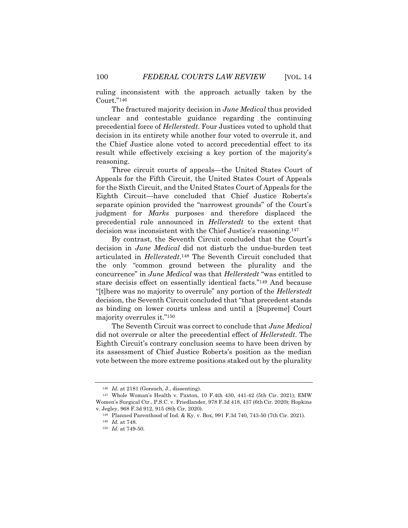ruling inconsistent with the approach actually taken by the Court."146

The fractured majority decision in *June Medical* thus provided unclear and contestable guidance regarding the continuing precedential force of *Hellerstedt*. Four Justices voted to uphold that decision in its entirety while another four voted to overrule it, and the Chief Justice alone voted to accord precedential effect to its result while effectively excising a key portion of the majority's reasoning.

Three circuit courts of appeals—the United States Court of Appeals for the Fifth Circuit, the United States Court of Appeals for the Sixth Circuit, and the United States Court of Appeals for the Eighth Circuit—have concluded that Chief Justice Roberts's separate opinion provided the "narrowest grounds" of the Court's judgment for *Marks* purposes and therefore displaced the precedential rule announced in *Hellerstedt* to the extent that decision was inconsistent with the Chief Justice's reasoning.147

By contrast, the Seventh Circuit concluded that the Court's decision in *June Medical* did not disturb the undue-burden test articulated in *Hellerstedt*.148 The Seventh Circuit concluded that the only "common ground between the plurality and the concurrence" in *June Medical* was that *Hellerstedt* "was entitled to stare decisis effect on essentially identical facts."149 And because "[t]here was no majority to overrule" any portion of the *Hellerstedt* decision, the Seventh Circuit concluded that "that precedent stands as binding on lower courts unless and until a [Supreme] Court majority overrules it."150

The Seventh Circuit was correct to conclude that *June Medical*  did not overrule or alter the precedential effect of *Hellerstedt*. The Eighth Circuit's contrary conclusion seems to have been driven by its assessment of Chief Justice Roberts's position as the median vote between the more extreme positions staked out by the plurality

<sup>146</sup> *Id.* at 2181 (Gorsuch, J., dissenting).

<sup>147</sup> Whole Woman's Health v. Paxton, 10 F.4th 430, 441-42 (5th Cir. 2021); EMW Women's Surgical Ctr., P.S.C. v. Friedlander, 978 F.3d 418, 437 (6th Cir. 2020); Hopkins v. Jegley, 968 F.3d 912, 915 (8th Cir. 2020).

<sup>148</sup> Planned Parenthood of Ind. & Ky. v. Box, 991 F.3d 740, 743-50 (7th Cir. 2021).

<sup>149</sup> *Id.* at 748.

<sup>150</sup> *Id.* at 749-50.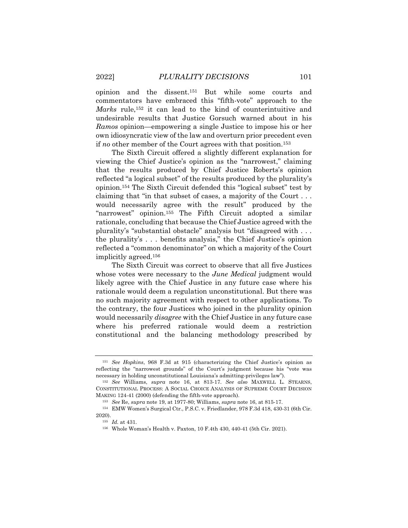opinion and the dissent.151 But while some courts and commentators have embraced this "fifth-vote" approach to the *Marks* rule,152 it can lead to the kind of counterintuitive and undesirable results that Justice Gorsuch warned about in his *Ramos* opinion—empowering a single Justice to impose his or her own idiosyncratic view of the law and overturn prior precedent even if *no* other member of the Court agrees with that position.153

The Sixth Circuit offered a slightly different explanation for viewing the Chief Justice's opinion as the "narrowest," claiming that the results produced by Chief Justice Roberts's opinion reflected "a logical subset" of the results produced by the plurality's opinion.154 The Sixth Circuit defended this "logical subset" test by claiming that "in that subset of cases, a majority of the Court . . . would necessarily agree with the result" produced by the "narrowest" opinion.155 The Fifth Circuit adopted a similar rationale, concluding that because the Chief Justice agreed with the plurality's "substantial obstacle" analysis but "disagreed with . . . the plurality's . . . benefits analysis," the Chief Justice's opinion reflected a "common denominator" on which a majority of the Court implicitly agreed.156

The Sixth Circuit was correct to observe that all five Justices whose votes were necessary to the *June Medical* judgment would likely agree with the Chief Justice in any future case where his rationale would deem a regulation unconstitutional. But there was no such majority agreement with respect to other applications. To the contrary, the four Justices who joined in the plurality opinion would necessarily *disagree* with the Chief Justice in any future case where his preferred rationale would deem a restriction constitutional and the balancing methodology prescribed by

<sup>151</sup> *See Hopkins*, 968 F.3d at 915 (characterizing the Chief Justice's opinion as reflecting the "narrowest grounds" of the Court's judgment because his "vote was necessary in holding unconstitutional Louisiana's admitting-privileges law").

<sup>152</sup> *See* Williams, *supra* note 16, at 813-17. *See also* MAXWELL L. STEARNS, CONSTITUTIONAL PROCESS: A SOCIAL CHOICE ANALYSIS OF SUPREME COURT DECISION MAKING 124-41 (2000) (defending the fifth-vote approach). 153 *See* Re, *supra* note 19, at 1977-80; Williams, *supra* note 16, at 815-17.

<sup>154</sup> EMW Women's Surgical Ctr., P.S.C. v. Friedlander, 978 F.3d 418, 430-31 (6th Cir. 2020).

<sup>155</sup> *Id.* at 431.

<sup>156</sup> Whole Woman's Health v. Paxton, 10 F.4th 430, 440-41 (5th Cir. 2021).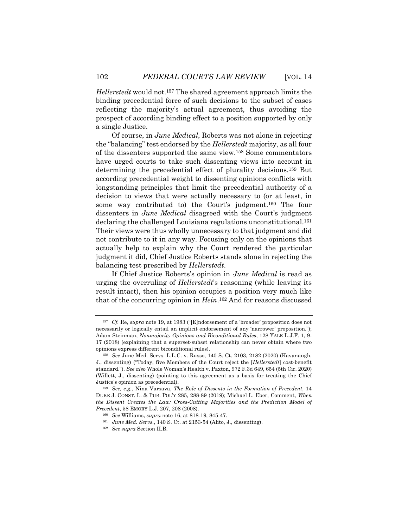*Hellerstedt* would not.157 The shared agreement approach limits the binding precedential force of such decisions to the subset of cases reflecting the majority's actual agreement, thus avoiding the prospect of according binding effect to a position supported by only a single Justice.

Of course, in *June Medical*, Roberts was not alone in rejecting the "balancing" test endorsed by the *Hellerstedt* majority, as all four of the dissenters supported the same view.158 Some commentators have urged courts to take such dissenting views into account in determining the precedential effect of plurality decisions.159 But according precedential weight to dissenting opinions conflicts with longstanding principles that limit the precedential authority of a decision to views that were actually necessary to (or at least, in some way contributed to) the Court's judgment.160 The four dissenters in *June Medical* disagreed with the Court's judgment declaring the challenged Louisiana regulations unconstitutional.161 Their views were thus wholly unnecessary to that judgment and did not contribute to it in any way. Focusing only on the opinions that actually help to explain why the Court rendered the particular judgment it did, Chief Justice Roberts stands alone in rejecting the balancing test prescribed by *Hellerstedt*.

If Chief Justice Roberts's opinion in *June Medical* is read as urging the overruling of *Hellerstedt*'s reasoning (while leaving its result intact), then his opinion occupies a position very much like that of the concurring opinion in *Hein*.162 And for reasons discussed

<sup>157</sup> *Cf.* Re, *supra* note 19, at 1983 ("[E]ndorsement of a 'broader' proposition does not necessarily or logically entail an implicit endorsement of any 'narrower' proposition."); Adam Steinman, *Nonmajority Opinions and Biconditional Rules*, 128 YALE L.J.F. 1, 9- 17 (2018) (explaining that a superset-subset relationship can never obtain where two opinions express different biconditional rules).

<sup>158</sup> *See* June Med. Servs. L.L.C. v. Russo, 140 S. Ct. 2103, 2182 (2020) (Kavanaugh, J., dissenting) ("Today, five Members of the Court reject the [*Hellerstedt*] cost-benefit standard."). *See also* Whole Woman's Health v. Paxton, 972 F.3d 649, 654 (5th Cir. 2020) (Willett, J., dissenting) (pointing to this agreement as a basis for treating the Chief Justice's opinion as precedential).

<sup>159</sup> *See, e.g.*, Nina Varsava, *The Role of Dissents in the Formation of Precedent*, 14 DUKE J. CONST. L. & PUB. POL'Y 285, 288-89 (2019); Michael L. Eber, Comment, *When the Dissent Creates the Law: Cross-Cutting Majorities and the Prediction Model of Precedent*, 58 EMORY L.J. 207, 208 (2008).

<sup>160</sup> *See* Williams, *supra* note 16, at 818-19, 845-47.

<sup>161</sup> *June Med. Servs.*, 140 S. Ct. at 2153-54 (Alito, J., dissenting).

<sup>162</sup> *See supra* Section II.B.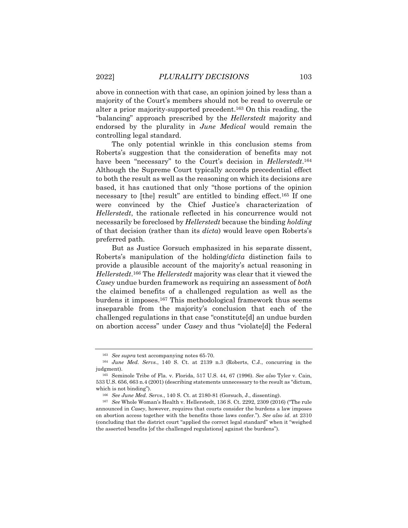above in connection with that case, an opinion joined by less than a majority of the Court's members should not be read to overrule or alter a prior majority-supported precedent.163 On this reading, the "balancing" approach prescribed by the *Hellerstedt* majority and endorsed by the plurality in *June Medical* would remain the controlling legal standard.

The only potential wrinkle in this conclusion stems from Roberts's suggestion that the consideration of benefits may not have been "necessary" to the Court's decision in *Hellerstedt*.164 Although the Supreme Court typically accords precedential effect to both the result as well as the reasoning on which its decisions are based, it has cautioned that only "those portions of the opinion necessary to [the] result" are entitled to binding effect.165 If one were convinced by the Chief Justice's characterization of *Hellerstedt*, the rationale reflected in his concurrence would not necessarily be foreclosed by *Hellerstedt* because the binding *holding* of that decision (rather than its *dicta*) would leave open Roberts's preferred path.

But as Justice Gorsuch emphasized in his separate dissent, Roberts's manipulation of the holding/*dicta* distinction fails to provide a plausible account of the majority's actual reasoning in *Hellerstedt*.166 The *Hellerstedt* majority was clear that it viewed the *Casey* undue burden framework as requiring an assessment of *both* the claimed benefits of a challenged regulation as well as the burdens it imposes.167 This methodological framework thus seems inseparable from the majority's conclusion that each of the challenged regulations in that case "constitute[d] an undue burden on abortion access" under *Casey* and thus "violate[d] the Federal

<sup>163</sup> *See supra* text accompanying notes 65-70.

<sup>164</sup> *June Med. Servs.*, 140 S. Ct. at 2139 n.3 (Roberts, C.J., concurring in the judgment).

<sup>165</sup> Seminole Tribe of Fla. v. Florida, 517 U.S. 44, 67 (1996). *See also* Tyler v. Cain, 533 U.S. 656, 663 n.4 (2001) (describing statements unnecessary to the result as "dictum, which is not binding").

<sup>166</sup> *See June Med. Servs.*, 140 S. Ct. at 2180-81 (Gorsuch, J., dissenting). 167 *See* Whole Woman's Health v. Hellerstedt, 136 S. Ct. 2292, 2309 (2016) ("The rule announced in *Casey*, however, requires that courts consider the burdens a law imposes on abortion access together with the benefits those laws confer."). *See also id.* at 2310 (concluding that the district court "applied the correct legal standard" when it "weighed the asserted benefits [of the challenged regulations] against the burdens").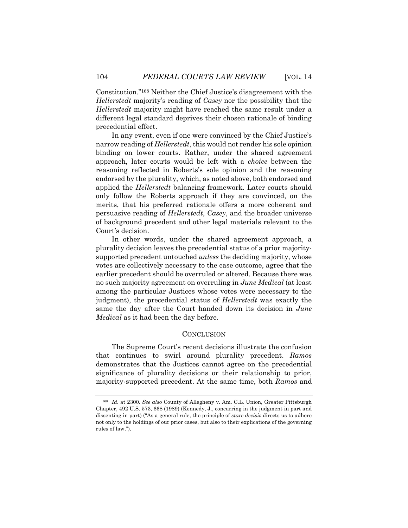Constitution."168 Neither the Chief Justice's disagreement with the *Hellerstedt* majority's reading of *Casey* nor the possibility that the *Hellerstedt* majority might have reached the same result under a different legal standard deprives their chosen rationale of binding precedential effect.

In any event, even if one were convinced by the Chief Justice's narrow reading of *Hellerstedt*, this would not render his sole opinion binding on lower courts. Rather, under the shared agreement approach, later courts would be left with a *choice* between the reasoning reflected in Roberts's sole opinion and the reasoning endorsed by the plurality, which, as noted above, both endorsed and applied the *Hellerstedt* balancing framework. Later courts should only follow the Roberts approach if they are convinced, on the merits, that his preferred rationale offers a more coherent and persuasive reading of *Hellerstedt*, *Casey*, and the broader universe of background precedent and other legal materials relevant to the Court's decision.

In other words, under the shared agreement approach, a plurality decision leaves the precedential status of a prior majoritysupported precedent untouched *unless* the deciding majority, whose votes are collectively necessary to the case outcome, agree that the earlier precedent should be overruled or altered. Because there was no such majority agreement on overruling in *June Medical* (at least among the particular Justices whose votes were necessary to the judgment), the precedential status of *Hellerstedt* was exactly the same the day after the Court handed down its decision in *June Medical* as it had been the day before.

#### **CONCLUSION**

The Supreme Court's recent decisions illustrate the confusion that continues to swirl around plurality precedent. *Ramos* demonstrates that the Justices cannot agree on the precedential significance of plurality decisions or their relationship to prior, majority-supported precedent. At the same time, both *Ramos* and

<sup>168</sup> *Id.* at 2300. *See also* County of Allegheny v. Am. C.L. Union, Greater Pittsburgh Chapter, 492 U.S. 573, 668 (1989) (Kennedy, J., concurring in the judgment in part and dissenting in part) ("As a general rule, the principle of *stare decisis* directs us to adhere not only to the holdings of our prior cases, but also to their explications of the governing rules of law.").